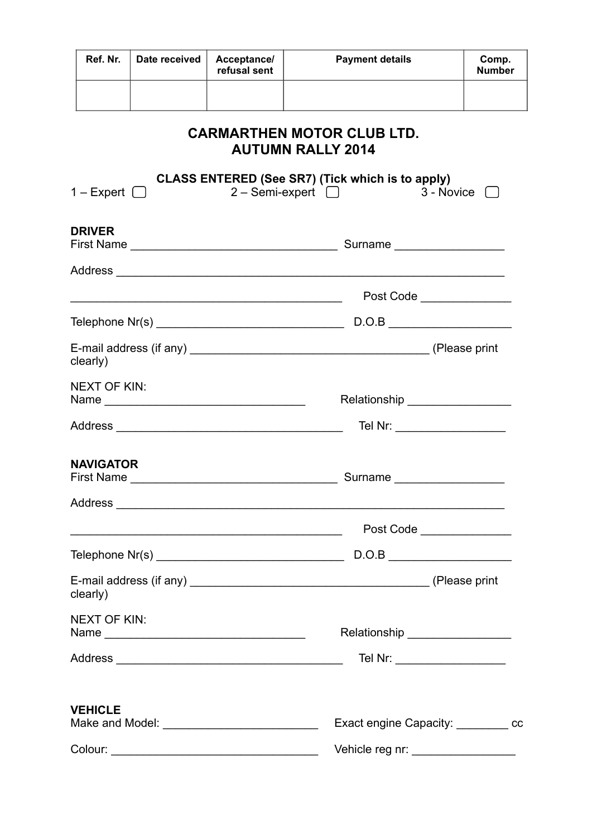| Ref. Nr.                           | Date received | Acceptance/<br>refusal sent | <b>Payment details</b>                                                                                                   | Comp.<br><b>Number</b> |  |
|------------------------------------|---------------|-----------------------------|--------------------------------------------------------------------------------------------------------------------------|------------------------|--|
|                                    |               |                             | <b>CARMARTHEN MOTOR CLUB LTD.</b><br><b>AUTUMN RALLY 2014</b><br><b>CLASS ENTERED (See SR7) (Tick which is to apply)</b> |                        |  |
| 1 – Expert $\Box$<br><b>DRIVER</b> |               |                             | $2 -$ Semi-expert $\Box$                                                                                                 | $3 - \text{Novice}$ [  |  |
|                                    |               |                             |                                                                                                                          |                        |  |
|                                    |               |                             | Post Code _____________                                                                                                  |                        |  |
|                                    |               |                             |                                                                                                                          |                        |  |
| clearly)                           |               |                             |                                                                                                                          |                        |  |
| <b>NEXT OF KIN:</b>                |               |                             | Relationship ___________________                                                                                         |                        |  |
|                                    |               |                             | Tel Nr: _____________________                                                                                            |                        |  |
| <b>NAVIGATOR</b>                   |               |                             |                                                                                                                          |                        |  |
|                                    |               |                             |                                                                                                                          |                        |  |
|                                    |               |                             | Post Code                                                                                                                |                        |  |
|                                    |               |                             |                                                                                                                          |                        |  |
| clearly)                           |               |                             |                                                                                                                          |                        |  |
| <b>NEXT OF KIN:</b>                |               |                             | Relationship __________________                                                                                          |                        |  |
|                                    |               |                             | Tel Nr: ______________________                                                                                           |                        |  |
| <b>VEHICLE</b>                     |               |                             |                                                                                                                          |                        |  |
|                                    |               |                             | Exact engine Capacity: cc                                                                                                |                        |  |
|                                    |               |                             | Vehicle reg nr: __________________                                                                                       |                        |  |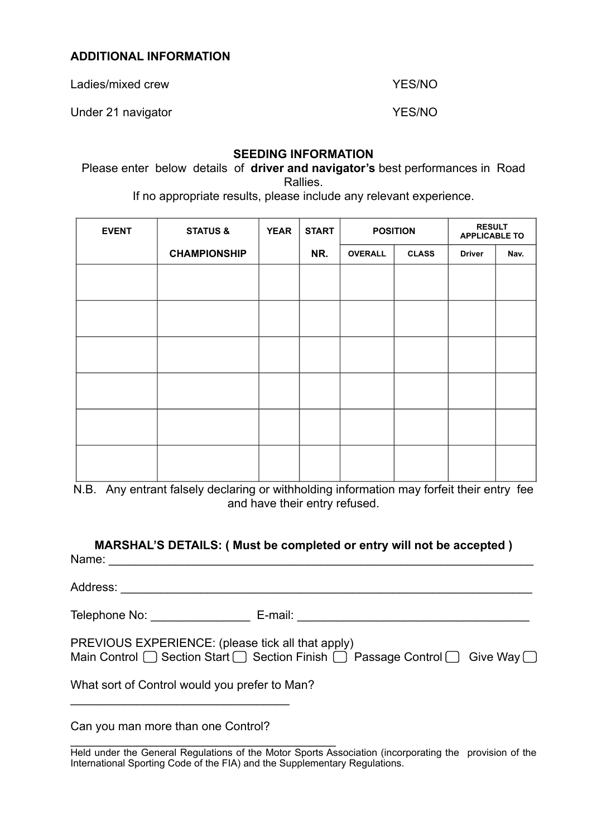# **ADDITIONAL INFORMATION**

Ladies/mixed crew The Contract of the VES/NO

Under 21 navigator **YES/NO** 

## **SEEDING INFORMATION**

Please enter below details of **driver and navigator's** best performances in Road Rallies.

If no appropriate results, please include any relevant experience.

| <b>EVENT</b> | <b>STATUS &amp;</b> | <b>YEAR</b> | <b>START</b> | <b>POSITION</b> |              | <b>RESULT</b><br><b>APPLICABLE TO</b> |      |
|--------------|---------------------|-------------|--------------|-----------------|--------------|---------------------------------------|------|
|              | <b>CHAMPIONSHIP</b> |             | NR.          | <b>OVERALL</b>  | <b>CLASS</b> | <b>Driver</b>                         | Nav. |
|              |                     |             |              |                 |              |                                       |      |
|              |                     |             |              |                 |              |                                       |      |
|              |                     |             |              |                 |              |                                       |      |
|              |                     |             |              |                 |              |                                       |      |
|              |                     |             |              |                 |              |                                       |      |
|              |                     |             |              |                 |              |                                       |      |

N.B. Any entrant falsely declaring or withholding information may forfeit their entry fee and have their entry refused.

| MARSHAL'S DETAILS: ( Must be completed or entry will not be accepted )<br>Name: |                                                   |                                                                                                       |
|---------------------------------------------------------------------------------|---------------------------------------------------|-------------------------------------------------------------------------------------------------------|
|                                                                                 |                                                   |                                                                                                       |
|                                                                                 |                                                   | Telephone No: ________________________ E-mail: _________________________________                      |
|                                                                                 | PREVIOUS EXPERIENCE: (please tick all that apply) | Main Control $\Box$ Section Start $\Box$ Section Finish $\Box$ Passage Control $\Box$ Give Way $\Box$ |
| What sort of Control would you prefer to Man?                                   |                                                   |                                                                                                       |
| Can you man more than one Control?                                              |                                                   |                                                                                                       |

\_\_\_\_\_\_\_\_\_\_\_\_\_\_\_\_\_\_\_\_\_\_\_\_\_\_\_\_\_\_\_\_\_\_\_\_\_\_\_\_ Held under the General Regulations of the Motor Sports Association (incorporating the provision of the International Sporting Code of the FIA) and the Supplementary Regulations.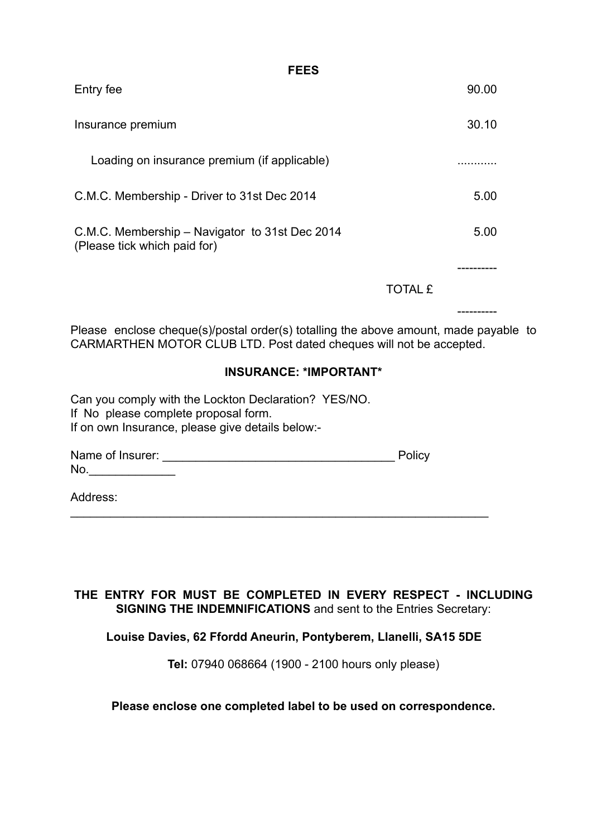| .                                                                              |                |       |
|--------------------------------------------------------------------------------|----------------|-------|
| Entry fee                                                                      |                | 90.00 |
| Insurance premium                                                              |                | 30.10 |
| Loading on insurance premium (if applicable)                                   |                |       |
| C.M.C. Membership - Driver to 31st Dec 2014                                    |                | 5.00  |
| C.M.C. Membership – Navigator to 31st Dec 2014<br>(Please tick which paid for) |                | 5.00  |
|                                                                                |                |       |
|                                                                                | <b>TOTAL £</b> |       |

**FEES**

Please enclose cheque(s)/postal order(s) totalling the above amount, made payable to CARMARTHEN MOTOR CLUB LTD. Post dated cheques will not be accepted.

----------

# **INSURANCE: \*IMPORTANT\***

Can you comply with the Lockton Declaration? YES/NO. If No please complete proposal form. If on own Insurance, please give details below:-

Name of Insurer: \_\_\_\_\_\_\_\_\_\_\_\_\_\_\_\_\_\_\_\_\_\_\_\_\_\_\_\_\_\_\_\_\_\_\_ Policy No.\_\_\_\_\_\_\_\_\_\_\_\_\_

\_\_\_\_\_\_\_\_\_\_\_\_\_\_\_\_\_\_\_\_\_\_\_\_\_\_\_\_\_\_\_\_\_\_\_\_\_\_\_\_\_\_\_\_\_\_\_\_\_\_\_\_\_\_\_\_\_\_\_\_\_\_\_

Address:

# **THE ENTRY FOR MUST BE COMPLETED IN EVERY RESPECT - INCLUDING SIGNING THE INDEMNIFICATIONS** and sent to the Entries Secretary:

# **Louise Davies, 62 Ffordd Aneurin, Pontyberem, Llanelli, SA15 5DE**

**Tel:** 07940 068664 (1900 - 2100 hours only please)

## **Please enclose one completed label to be used on correspondence.**